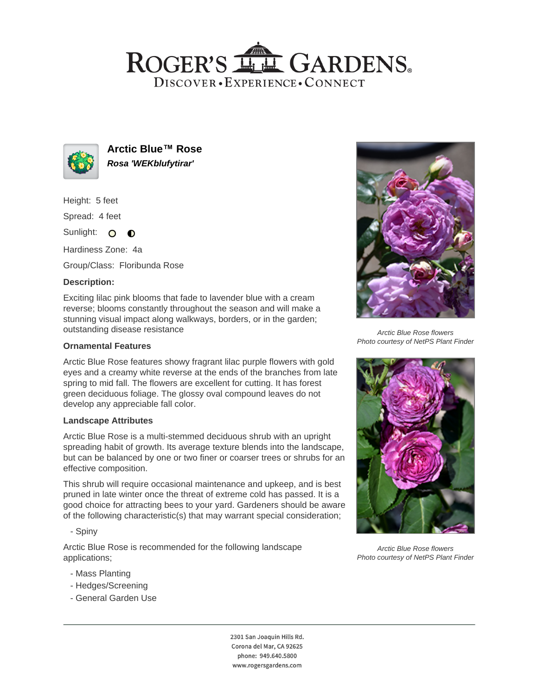# ROGER'S LL GARDENS. DISCOVER · EXPERIENCE · CONNECT



**Arctic Blue™ Rose Rosa 'WEKblufytirar'**

Height: 5 feet

Spread: 4 feet

Sunlight: O **O** 

Hardiness Zone: 4a

Group/Class: Floribunda Rose

# **Description:**

Exciting lilac pink blooms that fade to lavender blue with a cream reverse; blooms constantly throughout the season and will make a stunning visual impact along walkways, borders, or in the garden; outstanding disease resistance

### **Ornamental Features**

Arctic Blue Rose features showy fragrant lilac purple flowers with gold eyes and a creamy white reverse at the ends of the branches from late spring to mid fall. The flowers are excellent for cutting. It has forest green deciduous foliage. The glossy oval compound leaves do not develop any appreciable fall color.

#### **Landscape Attributes**

Arctic Blue Rose is a multi-stemmed deciduous shrub with an upright spreading habit of growth. Its average texture blends into the landscape, but can be balanced by one or two finer or coarser trees or shrubs for an effective composition.

This shrub will require occasional maintenance and upkeep, and is best pruned in late winter once the threat of extreme cold has passed. It is a good choice for attracting bees to your yard. Gardeners should be aware of the following characteristic(s) that may warrant special consideration;

- Spiny

Arctic Blue Rose is recommended for the following landscape applications;

- Mass Planting
- Hedges/Screening
- General Garden Use



Arctic Blue Rose flowers Photo courtesy of NetPS Plant Finder



Arctic Blue Rose flowers Photo courtesy of NetPS Plant Finder

2301 San Joaquin Hills Rd. Corona del Mar, CA 92625 phone: 949.640.5800 www.rogersgardens.com